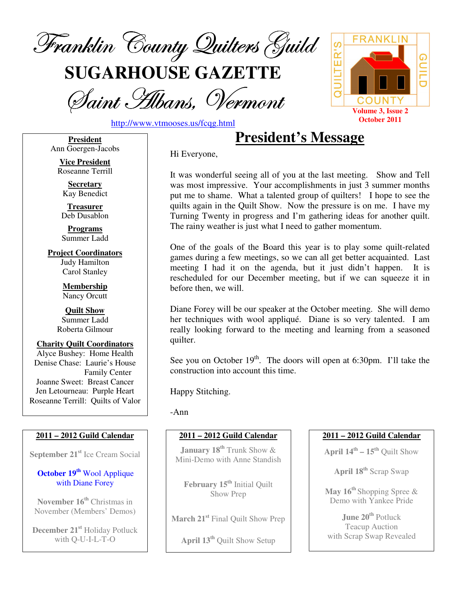

**SUGARHOUSE GAZETTE**

Saint Albans, Vermont



http://www.vtmooses.us/fcqg.html

**President** Ann Goergen-Jacobs

**Vice President** Roseanne Terrill

**Secretary** Kay Benedict

**Treasurer** Deb Dusablon

**Programs** Summer Ladd

**Project Coordinators** Judy Hamilton Carol Stanley

> **Membership** Nancy Orcutt

**Quilt Show** Summer Ladd Roberta Gilmour

**Charity Quilt Coordinators** Alyce Bushey: Home Health Denise Chase: Laurie's House Family Center Joanne Sweet: Breast Cancer Jen Letourneau: Purple Heart Roseanne Terrill: Quilts of Valor

## **2011 – 2012 Guild Calendar**

**September 21 st** Ice Cream Social

## **October 19 th** Wool Applique with Diane Forey

**November 16 th** Christmas in November (Members' Demos)

**December 21 st** Holiday Potluck with Q-U-I-L-T-O

Hi Everyone,

It was wonderful seeing all of you at the last meeting. Show and Tell was most impressive. Your accomplishments in just 3 summer months put me to shame. What a talented group of quilters! I hope to see the quilts again in the Quilt Show. Now the pressure is on me. I have my Turning Twenty in progress and I'm gathering ideas for another quilt. The rainy weather is just what I need to gather momentum.

**President's Message**

One of the goals of the Board this year is to play some quilt-related games during a few meetings, so we can all get better acquainted. Last meeting I had it on the agenda, but it just didn't happen. It is rescheduled for our December meeting, but if we can squeeze it in before then, we will.

Diane Forey will be our speaker at the October meeting. She will demo her techniques with wool appliqué. Diane is so very talented. I am really looking forward to the meeting and learning from a seasoned quilter.

See you on October 19<sup>th</sup>. The doors will open at 6:30pm. I'll take the construction into account this time.

Happy Stitching.

-Ann

## **2011 – 2012 Guild Calendar**

**January 18 th** Trunk Show & Mini-Demo with Anne Standish

**February 15 th** Initial Quilt Show Prep

**March 21 st** Final Quilt Show Prep

**April 13 th** Quilt Show Setup

## **2011 – 2012 Guild Calendar**

**April 14 th – 15 th** Quilt Show

**April 18 th** Scrap Swap

**May 16 th** Shopping Spree & Demo with Yankee Pride

**June 20 th** Potluck Teacup Auction with Scrap Swap Revealed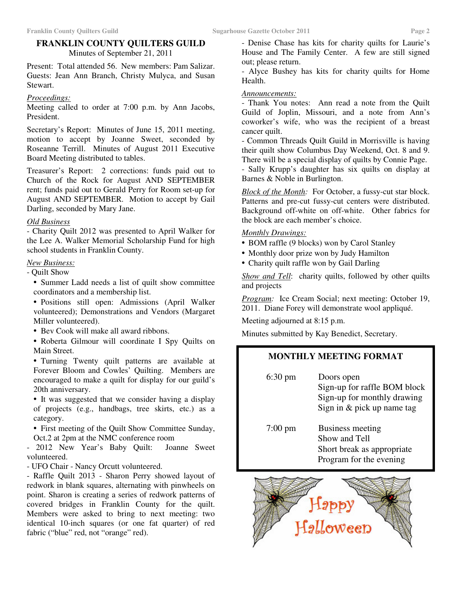# **FRANKLIN COUNTY QUILTERS GUILD**

Minutes of September 21, 2011

Present: Total attended 56. New members: Pam Salizar. Guests: Jean Ann Branch, Christy Mulyca, and Susan Stewart.

### *Proceedings:*

Meeting called to order at 7:00 p.m. by Ann Jacobs, President.

Secretary's Report: Minutes of June 15, 2011 meeting, motion to accept by Joanne Sweet, seconded by Roseanne Terrill. Minutes of August 2011 Executive Board Meeting distributed to tables.

Treasurer's Report: 2 corrections: funds paid out to Church of the Rock for August AND SEPTEMBER rent; funds paid out to Gerald Perry for Room set-up for August AND SEPTEMBER. Motion to accept by Gail Darling, seconded by Mary Jane.

### *Old Business*

- Charity Quilt 2012 was presented to April Walker for the Lee A. Walker Memorial Scholarship Fund for high school students in Franklin County.

### *New Business:*

- Quilt Show

• Summer Ladd needs a list of quilt show committee coordinators and a membership list.

• Positions still open: Admissions (April Walker volunteered); Demonstrations and Vendors (Margaret Miller volunteered).

• Bev Cook will make all award ribbons.

• Roberta Gilmour will coordinate I Spy Quilts on Main Street.

• Turning Twenty quilt patterns are available at Forever Bloom and Cowles' Quilting. Members are encouraged to make a quilt for display for our guild's 20th anniversary.

• It was suggested that we consider having a display of projects (e.g., handbags, tree skirts, etc.) as a category.

• First meeting of the Quilt Show Committee Sunday, Oct.2 at 2pm at the NMC conference room

- 2012 New Year's Baby Quilt: Joanne Sweet volunteered.

- UFO Chair - Nancy Orcutt volunteered.

- Raffle Quilt 2013 - Sharon Perry showed layout of redwork in blank squares, alternating with pinwheels on point. Sharon is creating a series of redwork patterns of covered bridges in Franklin County for the quilt. Members were asked to bring to next meeting: two identical 10-inch squares (or one fat quarter) of red fabric ("blue" red, not "orange" red).

- Denise Chase has kits for charity quilts for Laurie's House and The Family Center. A few are still signed out; please return.

- Alyce Bushey has kits for charity quilts for Home Health.

#### *Announcements:*

- Thank You notes: Ann read a note from the Quilt Guild of Joplin, Missouri, and a note from Ann's coworker's wife, who was the recipient of a breast cancer quilt.

- Common Threads Quilt Guild in Morrisville is having their quilt show Columbus Day Weekend, Oct. 8 and 9. There will be a special display of quilts by Connie Page.

- Sally Krupp's daughter has six quilts on display at Barnes & Noble in Burlington.

*Block of the Month:* For October, a fussy-cut star block. Patterns and pre-cut fussy-cut centers were distributed. Background off-white on off-white. Other fabrics for the block are each member's choice.

## *Monthly Drawings:*

- BOM raffle (9 blocks) won by Carol Stanley
- Monthly door prize won by Judy Hamilton
- Charity quilt raffle won by Gail Darling

*Show and Tell*: charity quilts, followed by other quilts and projects

*Program:* Ice Cream Social; next meeting: October 19, 2011. Diane Forey will demonstrate wool appliqué.

Meeting adjourned at 8:15 p.m.

Minutes submitted by Kay Benedict, Secretary.

## **MONTHLY MEETING FORMAT**

6:30 pm Doors open Sign-up for raffle BOM block Sign-up for monthly drawing Sign in & pick up name tag

7:00 pm Business meeting Show and Tell Short break as appropriate Program for the evening

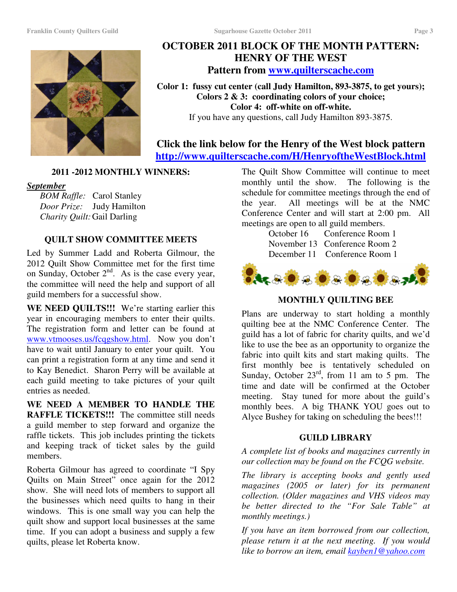# **OCTOBER 2011 BLOCK OF THE MONTH PATTERN: HENRY OF THE WEST Pattern from www.quilterscache.com**

**Color 1: fussy cut center (call Judy Hamilton, 893-3875, to get yours); Colors 2 & 3: coordinating colors of your choice; Color 4: off-white on off-white.** If you have any questions, call Judy Hamilton 893-3875.

# **Click the link below for the Henry of the West block pattern http://www.quilterscache.com/H/HenryoftheWestBlock.html**

## **2011 -2012 MONTHLY WINNERS:**

### *September*

*BOM Raffle:* Carol Stanley *Door Prize:* Judy Hamilton *Charity Quilt:*Gail Darling

## **QUILT SHOW COMMITTEE MEETS**

Led by Summer Ladd and Roberta Gilmour, the 2012 Quilt Show Committee met for the first time on Sunday, October  $2<sup>nd</sup>$ . As is the case every year, the committee will need the help and support of all guild members for a successful show.

**WE NEED QUILTS!!!** We're starting earlier this year in encouraging members to enter their quilts. The registration form and letter can be found at www.vtmooses.us/fcqgshow.html. Now you don't have to wait until January to enter your quilt. You can print a registration form at any time and send it to Kay Benedict. Sharon Perry will be available at each guild meeting to take pictures of your quilt entries as needed.

**WE NEED A MEMBER TO HANDLE THE RAFFLE TICKETS!!!** The committee still needs a guild member to step forward and organize the raffle tickets. This job includes printing the tickets and keeping track of ticket sales by the guild members.

Roberta Gilmour has agreed to coordinate "I Spy Quilts on Main Street" once again for the 2012 show. She will need lots of members to support all the businesses which need quilts to hang in their windows. This is one small way you can help the quilt show and support local businesses at the same time. If you can adopt a business and supply a few quilts, please let Roberta know.

The Quilt Show Committee will continue to meet monthly until the show. The following is the schedule for committee meetings through the end of the year. All meetings will be at the NMC Conference Center and will start at 2:00 pm. All meetings are open to all guild members.

October 16 Conference Room 1 November 13 Conference Room 2 December 11 Conference Room 1



## **MONTHLY QUILTING BEE**

Plans are underway to start holding a monthly quilting bee at the NMC Conference Center. The guild has a lot of fabric for charity quilts, and we'd like to use the bee as an opportunity to organize the fabric into quilt kits and start making quilts. The first monthly bee is tentatively scheduled on Sunday, October  $23<sup>rd</sup>$ , from 11 am to 5 pm. The time and date will be confirmed at the October meeting. Stay tuned for more about the guild's monthly bees. A big THANK YOU goes out to Alyce Bushey for taking on scheduling the bees!!!

## **GUILD LIBRARY**

*A complete list of books and magazines currently in our collection may be found on the FCQG website.*

*The library is accepting books and gently used magazines (2005 or later) for its permanent collection. (Older magazines and VHS videos may be better directed to the "For Sale Table" at monthly meetings.)*

*If you have an item borrowed from our collection, please return it at the next meeting. If you would like to borrow an item, email kayben1@yahoo.com*

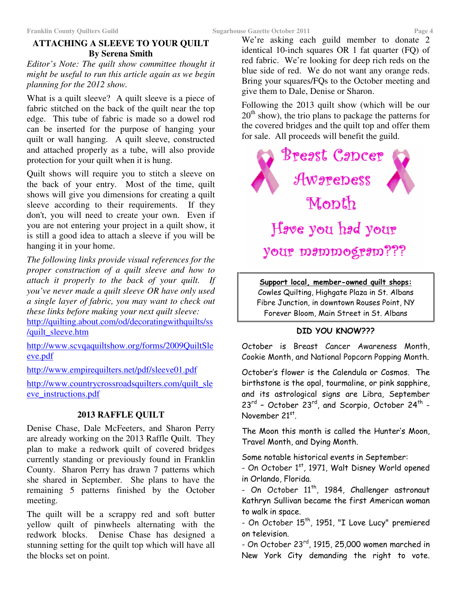# **ATTACHING A SLEEVE TO YOUR QUILT By Serena Smith**

*Editor's Note: The quilt show committee thought it might be useful to run this article again as we begin planning for the 2012 show.*

What is a quilt sleeve? A quilt sleeve is a piece of fabric stitched on the back of the quilt near the top edge. This tube of fabric is made so a dowel rod can be inserted for the purpose of hanging your quilt or wall hanging. A quilt sleeve, constructed and attached properly as a tube, will also provide protection for your quilt when it is hung.

Quilt shows will require you to stitch a sleeve on the back of your entry. Most of the time, quilt shows will give you dimensions for creating a quilt sleeve according to their requirements. If they don't, you will need to create your own. Even if you are not entering your project in a quilt show, it is still a good idea to attach a sleeve if you will be hanging it in your home.

*The following links provide visual references for the proper construction of a quilt sleeve and how to attach it properly to the back of your quilt. If you've never made a quilt sleeve OR have only used a single layer of fabric, you may want to check out these links before making your next quilt sleeve:* http://quilting.about.com/od/decoratingwithquilts/ss /quilt\_sleeve.htm

http://www.scvqaquiltshow.org/forms/2009QuiltSle eve.pdf

http://www.empirequilters.net/pdf/sleeve01.pdf

http://www.countrycrossroadsquilters.com/quilt\_sle eve\_instructions.pdf

# **2013 RAFFLE QUILT**

Denise Chase, Dale McFeeters, and Sharon Perry are already working on the 2013 Raffle Quilt. They plan to make a redwork quilt of covered bridges currently standing or previously found in Franklin County. Sharon Perry has drawn 7 patterns which she shared in September. She plans to have the remaining 5 patterns finished by the October meeting.

The quilt will be a scrappy red and soft butter yellow quilt of pinwheels alternating with the redwork blocks. Denise Chase has designed a stunning setting for the quilt top which will have all the blocks set on point.

We're asking each guild member to donate 2 identical 10-inch squares OR 1 fat quarter (FQ) of red fabric. We're looking for deep rich reds on the blue side of red. We do not want any orange reds. Bring your squares/FQs to the October meeting and give them to Dale, Denise or Sharon.

Following the 2013 quilt show (which will be our 20<sup>th</sup> show), the trio plans to package the patterns for the covered bridges and the quilt top and offer them for sale. All proceeds will benefit the guild.



<u> Support local, member-owned quilt shops:</u> Cowles Quilting, Highgate Plaza in St. Albans Fibre Junction, in downtown Rouses Point, NY Forever Bloom, Main Street in St. Albans

# DID YOU KNOW???

October is Breast Cancer Awareness Month, Cookie Month, and National Popcorn Popping Month.

October's flower is the Calendula or Cosmos. The birthstone is the opal, tourmaline, or pink sapphire, and its astrological signs are Libra, September  $23^{\text{rd}}$  – October 23 $^{\text{rd}}$ , and Scorpio, October 24 $^{\text{th}}$  – November 21st.

The Moon this month is called the Hunter's Moon, Travel Month, and Dying Month.

Some notable historical events in September:

- On October 1<sup>st</sup>, 1971, Walt Disney World opened in Orlando, Florida.

- On October 11<sup>th</sup>, 1984, Challenger astronaut Kathryn Sullivan became the first American woman to walk in space.

- On October 15<sup>th</sup>, 1951, "I Love Lucy" premiered on television.

- On October 23<sup>rd</sup>, 1915, 25,000 women marched in New York City demanding the right to vote.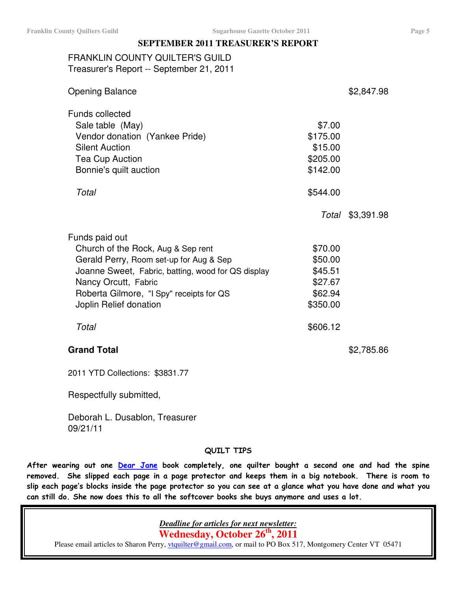## **SEPTEMBER 2011 TREASURER'S REPORT**

# FRANKLIN COUNTY QUILTER'S GUILD Treasurer's Report -- September 21, 2011

| <b>Opening Balance</b>                                                                                                                                                                                                                              |                                                                 | \$2,847.98 |
|-----------------------------------------------------------------------------------------------------------------------------------------------------------------------------------------------------------------------------------------------------|-----------------------------------------------------------------|------------|
| <b>Funds collected</b><br>Sale table (May)<br>Vendor donation (Yankee Pride)<br><b>Silent Auction</b><br><b>Tea Cup Auction</b><br>Bonnie's quilt auction                                                                                           | \$7.00<br>\$175.00<br>\$15.00<br>\$205.00<br>\$142.00           |            |
| Total                                                                                                                                                                                                                                               | \$544.00<br>Total                                               | \$3,391.98 |
| Funds paid out<br>Church of the Rock, Aug & Sep rent<br>Gerald Perry, Room set-up for Aug & Sep<br>Joanne Sweet, Fabric, batting, wood for QS display<br>Nancy Orcutt, Fabric<br>Roberta Gilmore, "I Spy" receipts for QS<br>Joplin Relief donation | \$70.00<br>\$50.00<br>\$45.51<br>\$27.67<br>\$62.94<br>\$350.00 |            |
| Total                                                                                                                                                                                                                                               | \$606.12                                                        |            |
| <b>Grand Total</b>                                                                                                                                                                                                                                  |                                                                 | \$2,785.86 |

2011 YTD Collections: \$3831.77

Respectfully submitted,

Deborah L. Dusablon, Treasurer 09/21/11

## QUILT TIPS

After wearing out one <u>Dear Jane</u> book completely, one quilter bought a second one and had the spine removed. She slipped each page in a page protector and keeps them in a big notebook. There is room to slip each page's blocks inside the page protector so you can see at a glance what you have done and what you can still do. She now does this to all the softcover books she buys anymore and uses a lot.

*Deadline for articles for next newsletter:*

**Wednesday, October 26 th , 2011**

Please email articles to Sharon Perry, *vtquilter@gmail.com*, or mail to PO Box 517, Montgomery Center VT 05471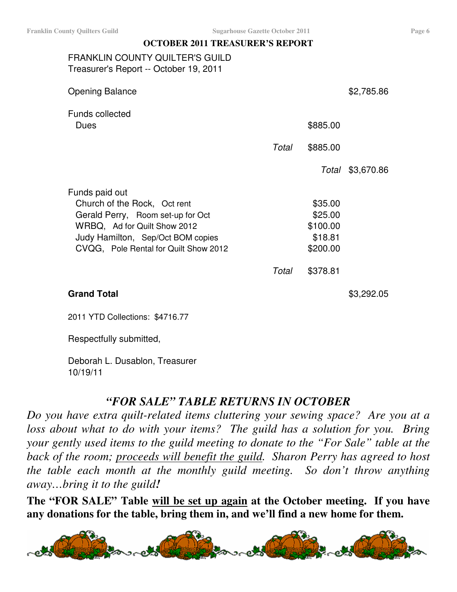## **OCTOBER 2011 TREASURER'S REPORT**

FRANKLIN COUNTY QUILTER'S GUILD Treasurer's Report -- October 19, 2011

| <b>Opening Balance</b>                |       |          | \$2,785.86       |
|---------------------------------------|-------|----------|------------------|
| <b>Funds collected</b><br>Dues        |       | \$885.00 |                  |
|                                       | Total | \$885.00 |                  |
|                                       |       |          | Total \$3,670.86 |
| Funds paid out                        |       |          |                  |
| Church of the Rock, Oct rent          |       | \$35.00  |                  |
| Gerald Perry, Room set-up for Oct     |       | \$25.00  |                  |
| WRBQ, Ad for Quilt Show 2012          |       | \$100.00 |                  |
| Judy Hamilton, Sep/Oct BOM copies     |       | \$18.81  |                  |
| CVQG, Pole Rental for Quilt Show 2012 |       | \$200.00 |                  |
|                                       | Total | \$378.81 |                  |
| <b>Grand Total</b>                    |       |          | \$3,292.05       |

2011 YTD Collections: \$4716.77

Respectfully submitted,

Deborah L. Dusablon, Treasurer 10/19/11

# *"FOR SALE" TABLE RETURNS IN OCTOBER*

*Do you have extra quilt-related items cluttering your sewing space? Are you at a loss about what to do with your items? The guild has a solution for you. Bring your gently used items to the guild meeting to donate to the "For Sale" table at the back of the room; proceeds will benefit the guild. Sharon Perry has agreed to host the table each month at the monthly guild meeting. So don't throw anything away…bring it to the guild!*

**The "FOR SALE" Table will be set up again at the October meeting. If you have any donations for the table, bring them in, and we'll find a new home for them.**

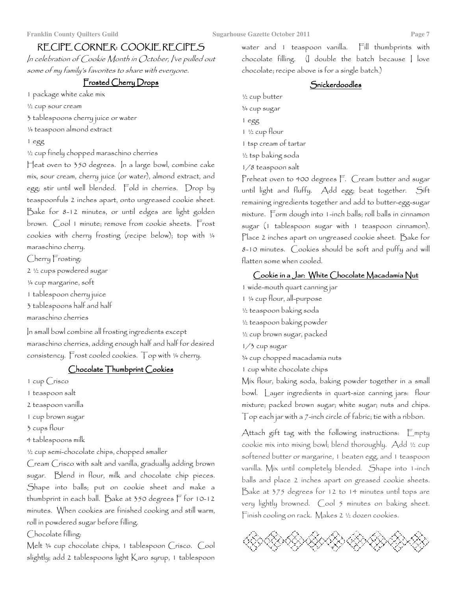#### Page 7

# RECIPE CORNER: COOKIE RECIPES

In celebration of Cookie Month in October, I've pulled out some of my famíly's favorites to share with everyone.

# Frosted Cherry Drops

1 package white cake mix

1/2 cup sour cream

3 tablespoons cherry juice or water

1/4 teaspoon almond extract

#### 1 egg

1/2 cup finely chopped maraschino cherries

Heat oven to 350 degrees. In a large bowl, combine cake mix, sour cream, cherry juice (or water), almond extract, and egg; stir until well blended. Fold in cherries. Drop by teaspoonfuls 2 inches apart, onto ungreased cookie sheet. Bake for 8-12 minutes, or until edges are light golden brown. Cool 1 minute; remove from cookie sheets. Frost cookies with cherry frosting (recipe below); top with 1/4 maraschino cherry.

Cherry Frosting:

2 1/2 cups powdered sugar

1/4 cup margarine, soft

1 tablespoon cherry juice

3 tablespoons half and half

maraschino cherries

In small bowl combine all frosting ingredients except maraschino cherries, adding enough half and half for desired consistency. Frost cooled cookies. Top with 1/4 cherry.

## Chocolate Thumbprint Cookies

1 cup Crisco

1 teaspoon salt

2 teaspoon vanilla

1 cup brown sugar

3 cups flour

4 tablespoons milk

1/2 cup semi-chocolate chips, chopped smaller

Cream Crisco with salt and vanilla, gradually adding brown sugar. Blend in flour, milk and chocolate chip pieces. Shape into balls; put on cookie sheet and make a thumbprint in each ball. Bake at 350 degrees F for 10-12 minutes. When cookies are finished cooking and still warm, roll in powdered sugar before filling.

Chocolate filling:

Melt 34 cup chocolate chips, 1 tablespoon Crisco. Cool slightly; add 2 tablespoons light Karo syrup, 1 tablespoon water and 1 teaspoon vanilla. Fill thumbprints with chocolate filling. (I double the batch because I love chocolate; recipe above is for a single batch.)

## Snickerdoodles

1/2 cup butter 3/4 cup sugar 1 egg 1 1/2 cup flour 1 tsp cream of tartar 1/2 tsp baking soda

1/8 teaspoon salt

Preheat oven to 400 degrees F. Cream butter and sugar until light and fluffy. Add egg; beat together. Sift remaining ingredients together and add to butter-egg-sugar mixture. Form dough into 1-inch balls; roll balls in cinnamon sugar (1 tablespoon sugar with 1 teaspoon cinnamon). Place 2 inches apart on ungreased cookie sheet. Bake for 8-10 minutes. Cookies should be soft and puffy and will flatten some when cooled.

## Cookie in a Jar: White Chocolate Macadamia Nut

1 wide-mouth quart canning jar 1 1/4 cup flour, all-purpose

- 1/2 teaspoon baking soda
- 1/2 teaspoon baking powder

1/2 cup brown sugar, packed

1/3 cup sugar

3/4 cup chopped macadamía nuts

1 cup white chocolate chips

Mix flour, baking soda, baking powder together in a small bowl. Layer ingredients in quart-size canning jars: flour mixture; packed brown sugar; white sugar; nuts and chips.  $\top$ op each jar with a  $\tau$ -inch circle of fabric; tie with a ribbon.

Attach gift tag with the following instructions: Empty cookie mix into mixing bowl; blend thoroughly. Add 1/2 cup softened butter or margarine, 1 beaten egg, and 1 teaspoon vanilla. Mix until completely blended. Shape into 1-inch balls and place 2 inches apart on greased cookie sheets. Bake at 375 degrees for 12 to 14 minutes until tops are very lightly browned. Cool 5 minutes on baking sheet. Finish cooling on rack. Makes 2 1/2 dozen cookies.